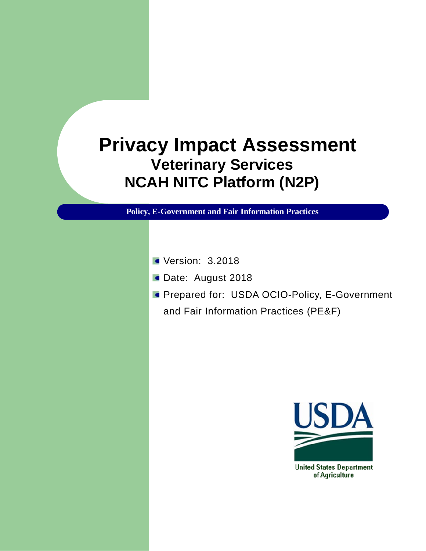## **Privacy Impact Assessment Veterinary Services NCAH NITC Platform (N2P)**

**Policy, E-Government and Fair Information Practices**

- **Version: 3.2018**
- Date: August 2018
- **Prepared for: USDA OCIO-Policy, E-Government** and Fair Information Practices (PE&F)

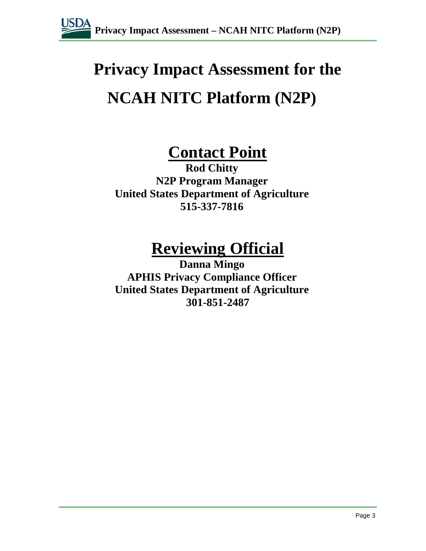

# **Privacy Impact Assessment for the NCAH NITC Platform (N2P)**

## **Contact Point**

**Rod Chitty N2P Program Manager United States Department of Agriculture 515-337-7816**

## **Reviewing Official**

**Danna Mingo APHIS Privacy Compliance Officer United States Department of Agriculture 301-851-2487**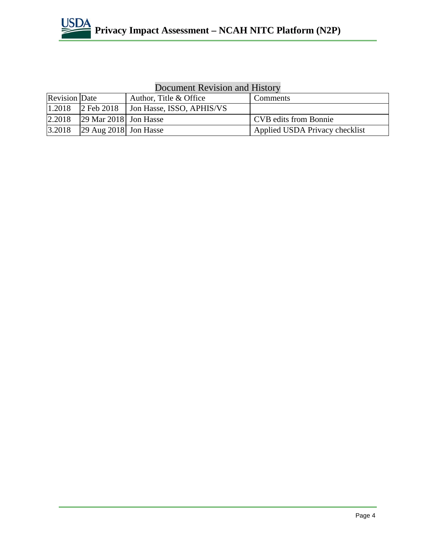

### Document Revision and History

| <b>Revision</b> Date |                                               | Author, Title & Office    | <b>Comments</b>                |  |
|----------------------|-----------------------------------------------|---------------------------|--------------------------------|--|
| 1.2018               | $2$ Feb 2018                                  | Jon Hasse, ISSO, APHIS/VS |                                |  |
| 2.2018               | $\left 29 \right\rangle$ Mar 2018 Jon Hasse   |                           | <b>CVB</b> edits from Bonnie   |  |
| 3.2018               | $\left 29 \text{ Aug } 2018\right $ Jon Hasse |                           | Applied USDA Privacy checklist |  |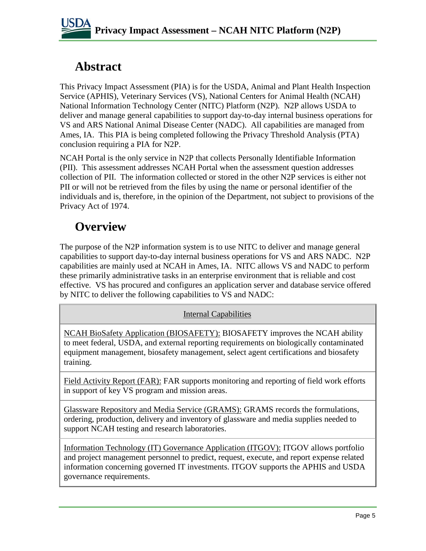## **Abstract**

This Privacy Impact Assessment (PIA) is for the USDA, Animal and Plant Health Inspection Service (APHIS), Veterinary Services (VS), National Centers for Animal Health (NCAH) National Information Technology Center (NITC) Platform (N2P). N2P allows USDA to deliver and manage general capabilities to support day-to-day internal business operations for VS and ARS National Animal Disease Center (NADC). All capabilities are managed from Ames, IA. This PIA is being completed following the Privacy Threshold Analysis (PTA) conclusion requiring a PIA for N2P.

NCAH Portal is the only service in N2P that collects Personally Identifiable Information (PII). This assessment addresses NCAH Portal when the assessment question addresses collection of PII. The information collected or stored in the other N2P services is either not PII or will not be retrieved from the files by using the name or personal identifier of the individuals and is, therefore, in the opinion of the Department, not subject to provisions of the Privacy Act of 1974.

## **Overview**

The purpose of the N2P information system is to use NITC to deliver and manage general capabilities to support day-to-day internal business operations for VS and ARS NADC. N2P capabilities are mainly used at NCAH in Ames, IA. NITC allows VS and NADC to perform these primarily administrative tasks in an enterprise environment that is reliable and cost effective. VS has procured and configures an application server and database service offered by NITC to deliver the following capabilities to VS and NADC:

#### Internal Capabilities

NCAH BioSafety Application (BIOSAFETY): BIOSAFETY improves the NCAH ability to meet federal, USDA, and external reporting requirements on biologically contaminated equipment management, biosafety management, select agent certifications and biosafety training.

Field Activity Report (FAR): FAR supports monitoring and reporting of field work efforts in support of key VS program and mission areas.

Glassware Repository and Media Service (GRAMS): GRAMS records the formulations, ordering, production, delivery and inventory of glassware and media supplies needed to support NCAH testing and research laboratories.

Information Technology (IT) Governance Application (ITGOV): ITGOV allows portfolio and project management personnel to predict, request, execute, and report expense related information concerning governed IT investments. ITGOV supports the APHIS and USDA governance requirements.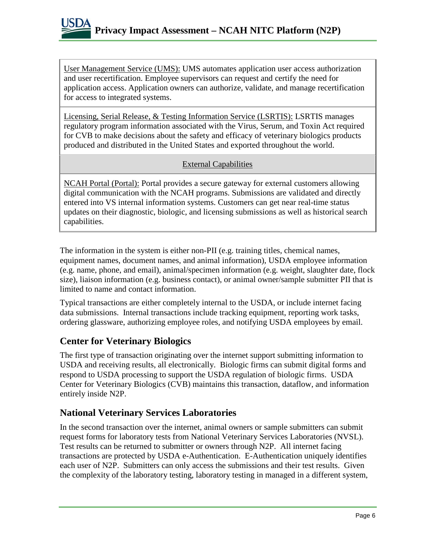

User Management Service (UMS): UMS automates application user access authorization and user recertification. Employee supervisors can request and certify the need for application access. Application owners can authorize, validate, and manage recertification for access to integrated systems.

Licensing, Serial Release, & Testing Information Service (LSRTIS): LSRTIS manages regulatory program information associated with the Virus, Serum, and Toxin Act required for CVB to make decisions about the safety and efficacy of veterinary biologics products produced and distributed in the United States and exported throughout the world.

#### External Capabilities

NCAH Portal (Portal): Portal provides a secure gateway for external customers allowing digital communication with the NCAH programs. Submissions are validated and directly entered into VS internal information systems. Customers can get near real-time status updates on their diagnostic, biologic, and licensing submissions as well as historical search capabilities.

The information in the system is either non-PII (e.g. training titles, chemical names, equipment names, document names, and animal information), USDA employee information (e.g. name, phone, and email), animal/specimen information (e.g. weight, slaughter date, flock size), liaison information (e.g. business contact), or animal owner/sample submitter PII that is limited to name and contact information.

Typical transactions are either completely internal to the USDA, or include internet facing data submissions. Internal transactions include tracking equipment, reporting work tasks, ordering glassware, authorizing employee roles, and notifying USDA employees by email.

#### **Center for Veterinary Biologics**

The first type of transaction originating over the internet support submitting information to USDA and receiving results, all electronically. Biologic firms can submit digital forms and respond to USDA processing to support the USDA regulation of biologic firms. USDA Center for Veterinary Biologics (CVB) maintains this transaction, dataflow, and information entirely inside N2P.

#### **National Veterinary Services Laboratories**

In the second transaction over the internet, animal owners or sample submitters can submit request forms for laboratory tests from National Veterinary Services Laboratories (NVSL). Test results can be returned to submitter or owners through N2P. All internet facing transactions are protected by USDA e-Authentication. E-Authentication uniquely identifies each user of N2P. Submitters can only access the submissions and their test results. Given the complexity of the laboratory testing, laboratory testing in managed in a different system,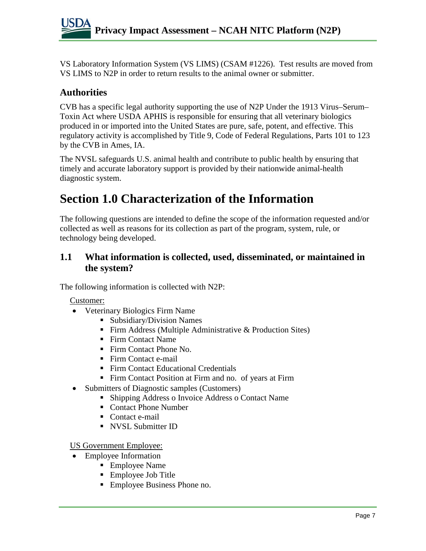VS Laboratory Information System (VS LIMS) (CSAM #1226). Test results are moved from VS LIMS to N2P in order to return results to the animal owner or submitter.

#### **Authorities**

CVB has a specific legal authority supporting the use of N2P Under the 1913 Virus–Serum– Toxin Act where USDA APHIS is responsible for ensuring that all veterinary biologics produced in or imported into the United States are pure, safe, potent, and effective. This regulatory activity is accomplished by Title 9, Code of Federal Regulations, Parts 101 to 123 by the CVB in Ames, IA.

The NVSL safeguards U.S. animal health and contribute to public health by ensuring that timely and accurate laboratory support is provided by their nationwide animal-health diagnostic system.

## **Section 1.0 Characterization of the Information**

The following questions are intended to define the scope of the information requested and/or collected as well as reasons for its collection as part of the program, system, rule, or technology being developed.

#### **1.1 What information is collected, used, disseminated, or maintained in the system?**

The following information is collected with N2P:

#### Customer:

- Veterinary Biologics Firm Name
	- Subsidiary/Division Names
	- Firm Address (Multiple Administrative & Production Sites)
	- Firm Contact Name
	- Firm Contact Phone No.
	- Firm Contact e-mail
	- Firm Contact Educational Credentials
	- Firm Contact Position at Firm and no. of years at Firm
	- Submitters of Diagnostic samples (Customers)
		- Shipping Address o Invoice Address o Contact Name
		- Contact Phone Number
		- Contact e-mail
		- **NVSL Submitter ID**

US Government Employee:

- Employee Information
	- Employee Name
	- Employee Job Title
	- Employee Business Phone no.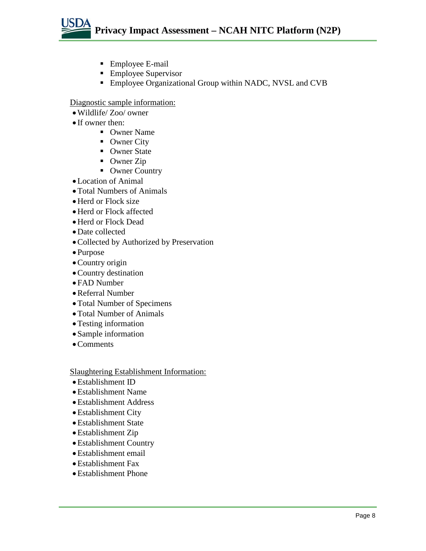

- Employee E-mail
- **Employee Supervisor**
- **Employee Organizational Group within NADC, NVSL and CVB**

Diagnostic sample information:

- •Wildlife/ Zoo/ owner
- If owner then:
	- Owner Name
	- Owner City
	- Owner State
	- Owner Zip
	- Owner Country
- •Location of Animal
- •Total Numbers of Animals
- Herd or Flock size
- Herd or Flock affected
- •Herd or Flock Dead
- •Date collected
- •Collected by Authorized by Preservation
- Purpose
- •Country origin
- •Country destination
- FAD Number
- •Referral Number
- •Total Number of Specimens
- •Total Number of Animals
- •Testing information
- Sample information
- Comments

Slaughtering Establishment Information:

- •Establishment ID
- •Establishment Name
- •Establishment Address
- •Establishment City
- •Establishment State
- •Establishment Zip
- •Establishment Country
- •Establishment email
- •Establishment Fax
- •Establishment Phone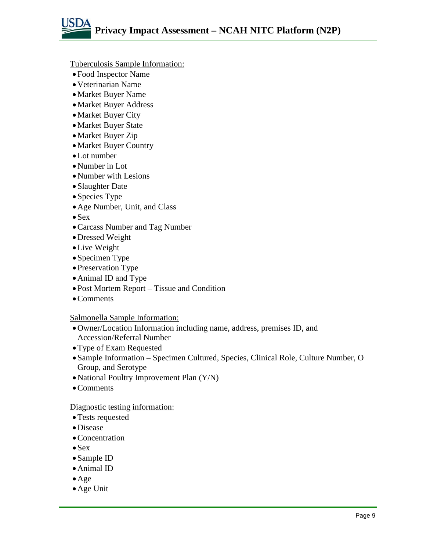

Tuberculosis Sample Information:

- Food Inspector Name
- •Veterinarian Name
- •Market Buyer Name
- •Market Buyer Address
- •Market Buyer City
- •Market Buyer State
- •Market Buyer Zip
- •Market Buyer Country
- •Lot number
- •Number in Lot
- Number with Lesions
- Slaughter Date
- Species Type
- •Age Number, Unit, and Class
- Sex
- •Carcass Number and Tag Number
- •Dressed Weight
- •Live Weight
- Specimen Type
- Preservation Type
- •Animal ID and Type
- Post Mortem Report Tissue and Condition
- •Comments

#### Salmonella Sample Information:

- •Owner/Location Information including name, address, premises ID, and Accession/Referral Number
- •Type of Exam Requested
- Sample Information Specimen Cultured, Species, Clinical Role, Culture Number, O Group, and Serotype
- National Poultry Improvement Plan (Y/N)
- •Comments

#### Diagnostic testing information:

- •Tests requested
- •Disease
- Concentration
- Sex
- Sample ID
- •Animal ID
- $\bullet$  Age
- •Age Unit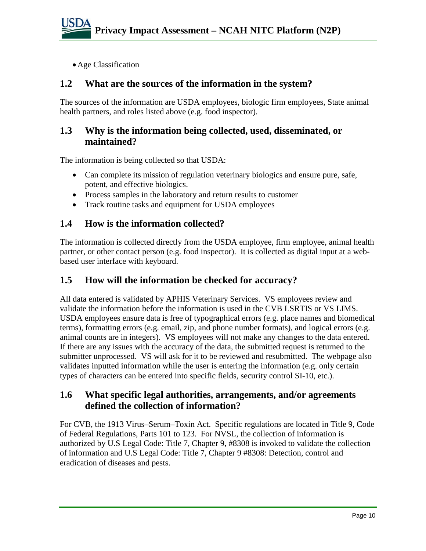•Age Classification

#### **1.2 What are the sources of the information in the system?**

The sources of the information are USDA employees, biologic firm employees, State animal health partners, and roles listed above (e.g. food inspector).

#### **1.3 Why is the information being collected, used, disseminated, or maintained?**

The information is being collected so that USDA:

- Can complete its mission of regulation veterinary biologics and ensure pure, safe. potent, and effective biologics.
- Process samples in the laboratory and return results to customer
- Track routine tasks and equipment for USDA employees

#### **1.4 How is the information collected?**

The information is collected directly from the USDA employee, firm employee, animal health partner, or other contact person (e.g. food inspector). It is collected as digital input at a webbased user interface with keyboard.

#### **1.5 How will the information be checked for accuracy?**

All data entered is validated by APHIS Veterinary Services. VS employees review and validate the information before the information is used in the CVB LSRTIS or VS LIMS. USDA employees ensure data is free of typographical errors (e.g. place names and biomedical terms), formatting errors (e.g. email, zip, and phone number formats), and logical errors (e.g. animal counts are in integers). VS employees will not make any changes to the data entered. If there are any issues with the accuracy of the data, the submitted request is returned to the submitter unprocessed. VS will ask for it to be reviewed and resubmitted. The webpage also validates inputted information while the user is entering the information (e.g. only certain types of characters can be entered into specific fields, security control SI-10, etc.).

#### **1.6 What specific legal authorities, arrangements, and/or agreements defined the collection of information?**

For CVB, the 1913 Virus–Serum–Toxin Act. Specific regulations are located in Title 9, Code of Federal Regulations, Parts 101 to 123. For NVSL, the collection of information is authorized by U.S Legal Code: Title 7, Chapter 9, #8308 is invoked to validate the collection of information and U.S Legal Code: Title 7, Chapter 9 #8308: Detection, control and eradication of diseases and pests.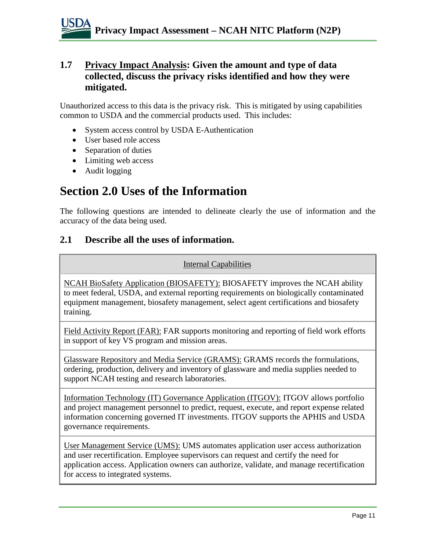#### **1.7 Privacy Impact Analysis: Given the amount and type of data collected, discuss the privacy risks identified and how they were mitigated.**

Unauthorized access to this data is the privacy risk. This is mitigated by using capabilities common to USDA and the commercial products used. This includes:

- System access control by USDA E-Authentication
- User based role access
- Separation of duties
- Limiting web access
- Audit logging

## **Section 2.0 Uses of the Information**

The following questions are intended to delineate clearly the use of information and the accuracy of the data being used.

#### **2.1 Describe all the uses of information.**

#### Internal Capabilities

NCAH BioSafety Application (BIOSAFETY): BIOSAFETY improves the NCAH ability to meet federal, USDA, and external reporting requirements on biologically contaminated equipment management, biosafety management, select agent certifications and biosafety training.

Field Activity Report (FAR): FAR supports monitoring and reporting of field work efforts in support of key VS program and mission areas.

Glassware Repository and Media Service (GRAMS): GRAMS records the formulations, ordering, production, delivery and inventory of glassware and media supplies needed to support NCAH testing and research laboratories.

Information Technology (IT) Governance Application (ITGOV): ITGOV allows portfolio and project management personnel to predict, request, execute, and report expense related information concerning governed IT investments. ITGOV supports the APHIS and USDA governance requirements.

User Management Service (UMS): UMS automates application user access authorization and user recertification. Employee supervisors can request and certify the need for application access. Application owners can authorize, validate, and manage recertification for access to integrated systems.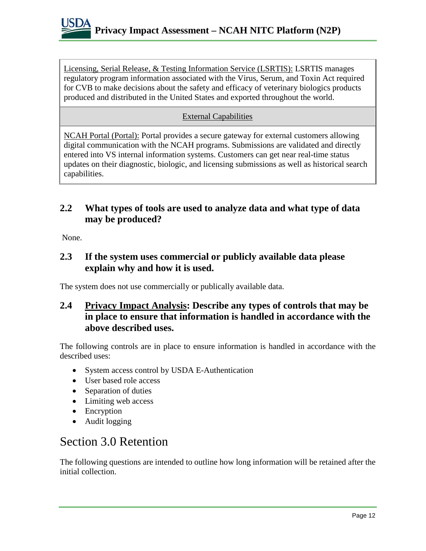

Licensing, Serial Release, & Testing Information Service (LSRTIS): LSRTIS manages regulatory program information associated with the Virus, Serum, and Toxin Act required for CVB to make decisions about the safety and efficacy of veterinary biologics products produced and distributed in the United States and exported throughout the world.

#### External Capabilities

NCAH Portal (Portal): Portal provides a secure gateway for external customers allowing digital communication with the NCAH programs. Submissions are validated and directly entered into VS internal information systems. Customers can get near real-time status updates on their diagnostic, biologic, and licensing submissions as well as historical search capabilities.

#### **2.2 What types of tools are used to analyze data and what type of data may be produced?**

None.

#### **2.3 If the system uses commercial or publicly available data please explain why and how it is used.**

The system does not use commercially or publically available data.

#### **2.4 Privacy Impact Analysis: Describe any types of controls that may be in place to ensure that information is handled in accordance with the above described uses.**

The following controls are in place to ensure information is handled in accordance with the described uses:

- System access control by USDA E-Authentication
- User based role access
- Separation of duties
- Limiting web access
- Encryption
- Audit logging

### Section 3.0 Retention

The following questions are intended to outline how long information will be retained after the initial collection.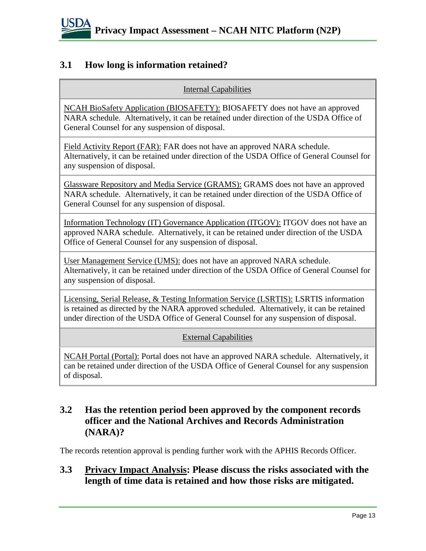

#### **3.1 How long is information retained?**

Internal Capabilities

NCAH BioSafety Application (BIOSAFETY): BIOSAFETY does not have an approved NARA schedule. Alternatively, it can be retained under direction of the USDA Office of General Counsel for any suspension of disposal.

Field Activity Report (FAR): FAR does not have an approved NARA schedule. Alternatively, it can be retained under direction of the USDA Office of General Counsel for any suspension of disposal.

Glassware Repository and Media Service (GRAMS): GRAMS does not have an approved NARA schedule. Alternatively, it can be retained under direction of the USDA Office of General Counsel for any suspension of disposal.

Information Technology (IT) Governance Application (ITGOV): ITGOV does not have an approved NARA schedule. Alternatively, it can be retained under direction of the USDA Office of General Counsel for any suspension of disposal.

User Management Service (UMS): does not have an approved NARA schedule. Alternatively, it can be retained under direction of the USDA Office of General Counsel for any suspension of disposal.

Licensing, Serial Release, & Testing Information Service (LSRTIS): LSRTIS information is retained as directed by the NARA approved scheduled. Alternatively, it can be retained under direction of the USDA Office of General Counsel for any suspension of disposal.

External Capabilities

NCAH Portal (Portal): Portal does not have an approved NARA schedule. Alternatively, it can be retained under direction of the USDA Office of General Counsel for any suspension of disposal.

#### **3.2 Has the retention period been approved by the component records officer and the National Archives and Records Administration (NARA)?**

The records retention approval is pending further work with the APHIS Records Officer.

#### **3.3 Privacy Impact Analysis: Please discuss the risks associated with the length of time data is retained and how those risks are mitigated.**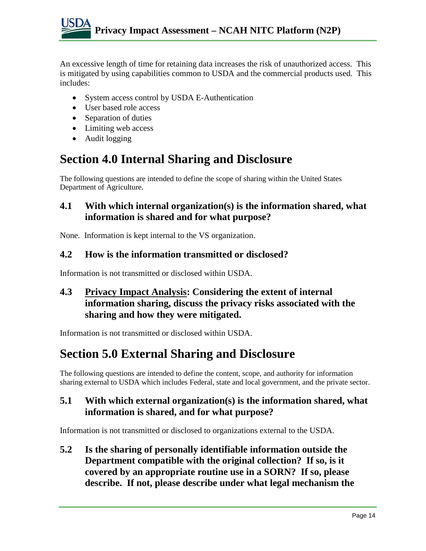An excessive length of time for retaining data increases the risk of unauthorized access. This is mitigated by using capabilities common to USDA and the commercial products used. This includes:

- System access control by USDA E-Authentication
- User based role access
- Separation of duties
- Limiting web access
- Audit logging

## **Section 4.0 Internal Sharing and Disclosure**

The following questions are intended to define the scope of sharing within the United States Department of Agriculture.

#### **4.1 With which internal organization(s) is the information shared, what information is shared and for what purpose?**

None. Information is kept internal to the VS organization.

#### **4.2 How is the information transmitted or disclosed?**

Information is not transmitted or disclosed within USDA.

#### **4.3 Privacy Impact Analysis: Considering the extent of internal information sharing, discuss the privacy risks associated with the sharing and how they were mitigated.**

Information is not transmitted or disclosed within USDA.

## **Section 5.0 External Sharing and Disclosure**

The following questions are intended to define the content, scope, and authority for information sharing external to USDA which includes Federal, state and local government, and the private sector.

#### **5.1 With which external organization(s) is the information shared, what information is shared, and for what purpose?**

Information is not transmitted or disclosed to organizations external to the USDA.

**5.2 Is the sharing of personally identifiable information outside the Department compatible with the original collection? If so, is it covered by an appropriate routine use in a SORN? If so, please describe. If not, please describe under what legal mechanism the**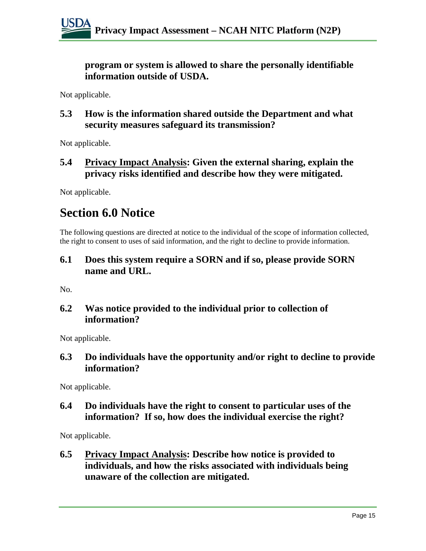**program or system is allowed to share the personally identifiable information outside of USDA.** 

Not applicable.

**5.3 How is the information shared outside the Department and what security measures safeguard its transmission?** 

Not applicable.

#### **5.4 Privacy Impact Analysis: Given the external sharing, explain the privacy risks identified and describe how they were mitigated.**

Not applicable.

## **Section 6.0 Notice**

The following questions are directed at notice to the individual of the scope of information collected, the right to consent to uses of said information, and the right to decline to provide information.

#### **6.1 Does this system require a SORN and if so, please provide SORN name and URL.**

No.

#### **6.2 Was notice provided to the individual prior to collection of information?**

Not applicable.

#### **6.3 Do individuals have the opportunity and/or right to decline to provide information?**

Not applicable.

#### **6.4 Do individuals have the right to consent to particular uses of the information? If so, how does the individual exercise the right?**

Not applicable.

**6.5 Privacy Impact Analysis: Describe how notice is provided to individuals, and how the risks associated with individuals being unaware of the collection are mitigated.**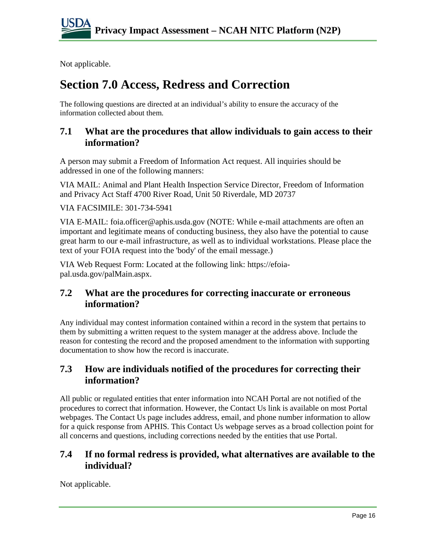Not applicable.

## **Section 7.0 Access, Redress and Correction**

The following questions are directed at an individual's ability to ensure the accuracy of the information collected about them.

#### **7.1 What are the procedures that allow individuals to gain access to their information?**

A person may submit a Freedom of Information Act request. All inquiries should be addressed in one of the following manners:

VIA MAIL: Animal and Plant Health Inspection Service Director, Freedom of Information and Privacy Act Staff 4700 River Road, Unit 50 Riverdale, MD 20737

VIA FACSIMILE: 301-734-5941

VIA E-MAIL: foia.officer@aphis.usda.gov (NOTE: While e-mail attachments are often an important and legitimate means of conducting business, they also have the potential to cause great harm to our e-mail infrastructure, as well as to individual workstations. Please place the text of your FOIA request into the 'body' of the email message.)

VIA Web Request Form: Located at the following link: https://efoiapal.usda.gov/palMain.aspx.

#### **7.2 What are the procedures for correcting inaccurate or erroneous information?**

Any individual may contest information contained within a record in the system that pertains to them by submitting a written request to the system manager at the address above. Include the reason for contesting the record and the proposed amendment to the information with supporting documentation to show how the record is inaccurate.

#### **7.3 How are individuals notified of the procedures for correcting their information?**

All public or regulated entities that enter information into NCAH Portal are not notified of the procedures to correct that information. However, the Contact Us link is available on most Portal webpages. The Contact Us page includes address, email, and phone number information to allow for a quick response from APHIS. This Contact Us webpage serves as a broad collection point for all concerns and questions, including corrections needed by the entities that use Portal.

#### **7.4 If no formal redress is provided, what alternatives are available to the individual?**

Not applicable.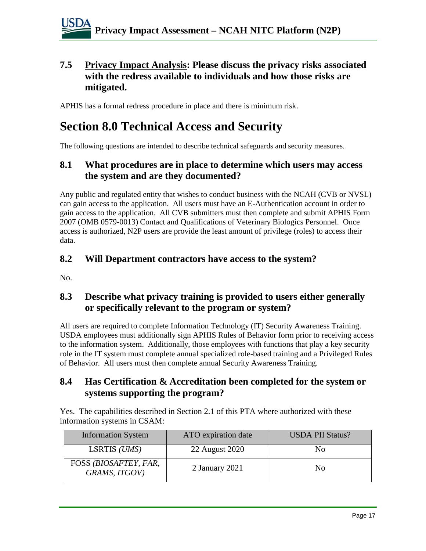#### **7.5 Privacy Impact Analysis: Please discuss the privacy risks associated with the redress available to individuals and how those risks are mitigated.**

APHIS has a formal redress procedure in place and there is minimum risk.

## **Section 8.0 Technical Access and Security**

The following questions are intended to describe technical safeguards and security measures.

#### **8.1 What procedures are in place to determine which users may access the system and are they documented?**

Any public and regulated entity that wishes to conduct business with the NCAH (CVB or NVSL) can gain access to the application. All users must have an E-Authentication account in order to gain access to the application. All CVB submitters must then complete and submit APHIS Form 2007 (OMB 0579-0013) Contact and Qualifications of Veterinary Biologics Personnel. Once access is authorized, N2P users are provide the least amount of privilege (roles) to access their data.

#### **8.2 Will Department contractors have access to the system?**

No.

#### **8.3 Describe what privacy training is provided to users either generally or specifically relevant to the program or system?**

All users are required to complete Information Technology (IT) Security Awareness Training. USDA employees must additionally sign APHIS Rules of Behavior form prior to receiving access to the information system. Additionally, those employees with functions that play a key security role in the IT system must complete annual specialized role-based training and a Privileged Rules of Behavior. All users must then complete annual Security Awareness Training.

#### **8.4 Has Certification & Accreditation been completed for the system or systems supporting the program?**

Yes. The capabilities described in Section 2.1 of this PTA where authorized with these information systems in CSAM:

| <b>Information System</b>              | ATO expiration date | <b>USDA PII Status?</b> |
|----------------------------------------|---------------------|-------------------------|
| LSRTIS (UMS)                           | 22 August 2020      | No                      |
| FOSS (BIOSAFTEY, FAR,<br>GRAMS, ITGOV) | 2 January 2021      | No                      |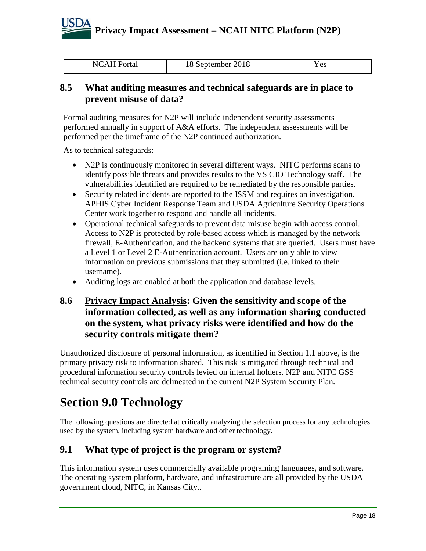## **Privacy Impact Assessment – NCAH NITC Platform (N2P)**

|  | <b>NCAH Portal</b> | 18 September 2018 | Y es |
|--|--------------------|-------------------|------|
|--|--------------------|-------------------|------|

#### **8.5 What auditing measures and technical safeguards are in place to prevent misuse of data?**

Formal auditing measures for N2P will include independent security assessments performed annually in support of A&A efforts. The independent assessments will be performed per the timeframe of the N2P continued authorization.

As to technical safeguards:

- N2P is continuously monitored in several different ways. NITC performs scans to identify possible threats and provides results to the VS CIO Technology staff. The vulnerabilities identified are required to be remediated by the responsible parties.
- Security related incidents are reported to the ISSM and requires an investigation. APHIS Cyber Incident Response Team and USDA Agriculture Security Operations Center work together to respond and handle all incidents.
- Operational technical safeguards to prevent data misuse begin with access control. Access to N2P is protected by role-based access which is managed by the network firewall, E-Authentication, and the backend systems that are queried. Users must have a Level 1 or Level 2 E-Authentication account. Users are only able to view information on previous submissions that they submitted (i.e. linked to their username).
- Auditing logs are enabled at both the application and database levels.

#### **8.6 Privacy Impact Analysis: Given the sensitivity and scope of the information collected, as well as any information sharing conducted on the system, what privacy risks were identified and how do the security controls mitigate them?**

Unauthorized disclosure of personal information, as identified in Section 1.1 above, is the primary privacy risk to information shared. This risk is mitigated through technical and procedural information security controls levied on internal holders. N2P and NITC GSS technical security controls are delineated in the current N2P System Security Plan.

## **Section 9.0 Technology**

The following questions are directed at critically analyzing the selection process for any technologies used by the system, including system hardware and other technology.

#### **9.1 What type of project is the program or system?**

This information system uses commercially available programing languages, and software. The operating system platform, hardware, and infrastructure are all provided by the USDA government cloud, NITC, in Kansas City..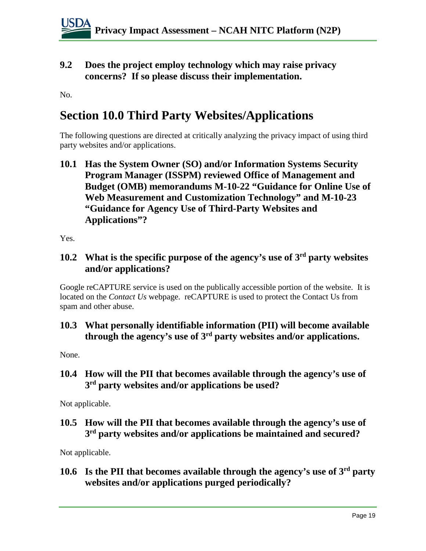**9.2 Does the project employ technology which may raise privacy concerns? If so please discuss their implementation.** 

No.

### **Section 10.0 Third Party Websites/Applications**

The following questions are directed at critically analyzing the privacy impact of using third party websites and/or applications.

**10.1 Has the System Owner (SO) and/or Information Systems Security Program Manager (ISSPM) reviewed Office of Management and Budget (OMB) memorandums M-10-22 "Guidance for Online Use of Web Measurement and Customization Technology" and M-10-23 "Guidance for Agency Use of Third-Party Websites and Applications"?**

Yes.

#### **10.2 What is the specific purpose of the agency's use of 3rd party websites and/or applications?**

Google reCAPTURE service is used on the publically accessible portion of the website. It is located on the *Contact Us* webpage. reCAPTURE is used to protect the Contact Us from spam and other abuse.

#### **10.3 What personally identifiable information (PII) will become available through the agency's use of 3rd party websites and/or applications.**

None.

#### **10.4 How will the PII that becomes available through the agency's use of 3rd party websites and/or applications be used?**

Not applicable.

#### **10.5 How will the PII that becomes available through the agency's use of 3rd party websites and/or applications be maintained and secured?**

Not applicable.

#### **10.6 Is the PII that becomes available through the agency's use of 3rd party websites and/or applications purged periodically?**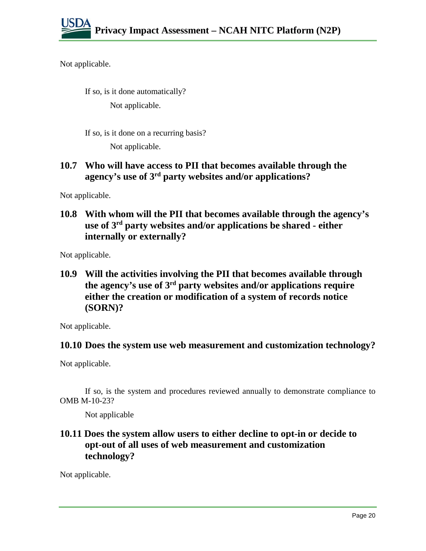Not applicable.

If so, is it done automatically? Not applicable.

If so, is it done on a recurring basis?

Not applicable.

#### **10.7 Who will have access to PII that becomes available through the agency's use of 3rd party websites and/or applications?**

Not applicable.

**10.8 With whom will the PII that becomes available through the agency's use of 3rd party websites and/or applications be shared - either internally or externally?**

Not applicable.

**10.9 Will the activities involving the PII that becomes available through the agency's use of 3rd party websites and/or applications require either the creation or modification of a system of records notice (SORN)?**

Not applicable.

#### **10.10 Does the system use web measurement and customization technology?**

Not applicable.

If so, is the system and procedures reviewed annually to demonstrate compliance to OMB M-10-23?

Not applicable

#### **10.11 Does the system allow users to either decline to opt-in or decide to opt-out of all uses of web measurement and customization technology?**

Not applicable.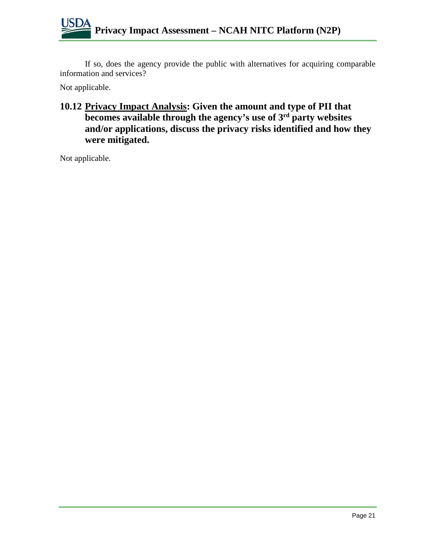If so, does the agency provide the public with alternatives for acquiring comparable information and services?

Not applicable.

#### **10.12 Privacy Impact Analysis: Given the amount and type of PII that becomes available through the agency's use of 3rd party websites and/or applications, discuss the privacy risks identified and how they were mitigated.**

Not applicable.